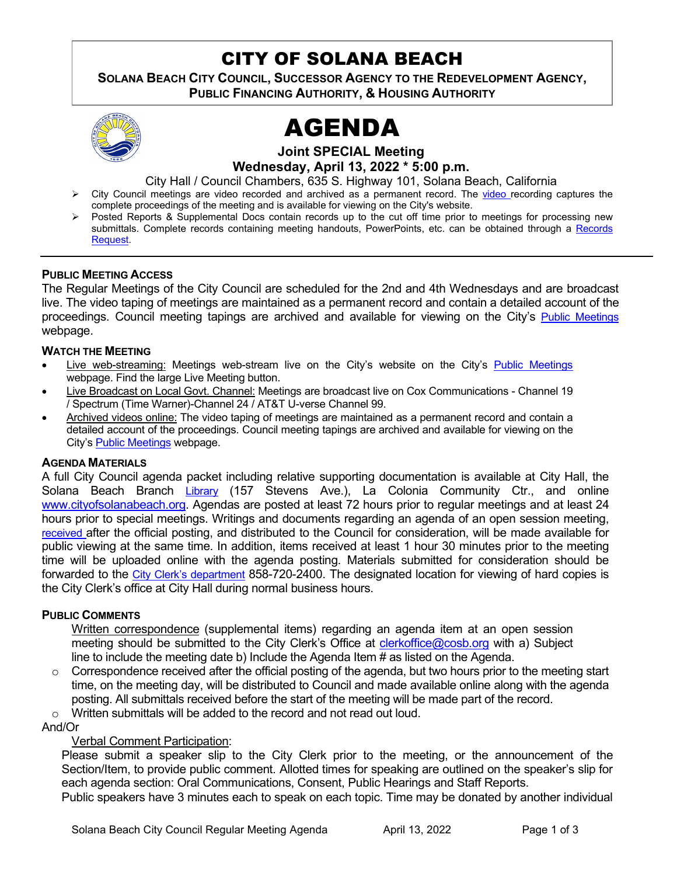# CITY OF SOLANA BEACH

**SOLANA BEACH CITY COUNCIL, SUCCESSOR AGENCY TO THE REDEVELOPMENT AGENCY, PUBLIC FINANCING AUTHORITY, & HOUSING AUTHORITY** 



# AGENDA

**Joint SPECIAL Meeting**

**Wednesday, April 13, 2022 \* 5:00 p.m.** 

City Hall / Council Chambers, 635 S. Highway 101, Solana Beach, California

- > City Council meetings are [video r](https://solanabeach.12milesout.com/#page=1)ecorded and archived as a permanent record. The video recording captures the complete proceedings of the meeting and is available for viewing on the City's website.
- Posted Reports & Supplemental Docs contain records up to the cut off time prior to meetings for processing new submittals. Complete records containing meeting handouts, PowerPoints, etc. can be obtained through a Records [Request.](http://www.ci.solana-beach.ca.us/index.asp?SEC=F5D45D10-70CE-4291-A27C-7BD633FC6742&Type=B_BASIC)

#### **PUBLIC MEETING ACCESS**

The Regular Meetings of the City Council are scheduled for the 2nd and 4th Wednesdays and are broadcast live. The video taping of meetings are maintained as a permanent record and contain a detailed account of the proceedings. Council meeting tapings are archived and available for viewing on the City's [Public Meetings](https://www.ci.solana-beach.ca.us/index.asp?SEC=F0F1200D-21C6-4A88-8AE1-0BC07C1A81A7&Type=B_BASIC) webpage.

#### **WATCH THE MEETING**

- Live web-streaming: Meetings web-stream live on the City's website on the City's [Public Meetings](https://urldefense.proofpoint.com/v2/url?u=https-3A__www.ci.solana-2Dbeach.ca.us_index.asp-3FSEC-3DF0F1200D-2D21C6-2D4A88-2D8AE1-2D0BC07C1A81A7-26Type-3DB-5FBASIC&d=DwMFAg&c=euGZstcaTDllvimEN8b7jXrwqOf-v5A_CdpgnVfiiMM&r=1XAsCUuqwK_tji2t0s1uIQ&m=wny2RVfZJ2tN24LkqZmkUWNpwL_peNtTZUBlTBZiMM4&s=WwpcEQpHHkFen6nS6q2waMuQ_VMZ-i1YZ60lD-dYRRE&e=) webpage. Find the large Live Meeting button.
- Live Broadcast on Local Govt. Channel: Meetings are broadcast live on Cox Communications Channel 19 / Spectrum (Time Warner)-Channel 24 / AT&T U-verse Channel 99.
- Archived videos online: The video taping of meetings are maintained as a permanent record and contain a detailed account of the proceedings. Council meeting tapings are archived and available for viewing on the City's [Public Meetings](https://urldefense.proofpoint.com/v2/url?u=https-3A__www.ci.solana-2Dbeach.ca.us_index.asp-3FSEC-3DF0F1200D-2D21C6-2D4A88-2D8AE1-2D0BC07C1A81A7-26Type-3DB-5FBASIC&d=DwMFAg&c=euGZstcaTDllvimEN8b7jXrwqOf-v5A_CdpgnVfiiMM&r=1XAsCUuqwK_tji2t0s1uIQ&m=wny2RVfZJ2tN24LkqZmkUWNpwL_peNtTZUBlTBZiMM4&s=WwpcEQpHHkFen6nS6q2waMuQ_VMZ-i1YZ60lD-dYRRE&e=) webpage.

#### **AGENDA MATERIALS**

A full City Council agenda packet including relative supporting documentation is available at City Hall, the Solana Beach Branch [Library](http://www.sdcl.org/locations_SB.html) (157 Stevens Ave.), La Colonia Community Ctr., and online [www.cityofsolanabeach.org.](http://www.cityofsolanabeach.org/) Agendas are posted at least 72 hours prior to regular meetings and at least 24 hours prior to special meetings. Writings and documents regarding an agenda of an open session meeting, [received a](mailto:EMAILGRP-CityClerksOfc@cosb.org)fter the official posting, and distributed to the Council for consideration, will be made available for public viewing at the same time. In addition, items received at least 1 hour 30 minutes prior to the meeting time will be uploaded online with the agenda posting. Materials submitted for consideration should be forwarded to the [City Clerk's department](mailto:clerkoffice@cosb.org) 858-720-2400. The designated location for viewing of hard copies is the City Clerk's office at City Hall during normal business hours.

#### **PUBLIC COMMENTS**

Written correspondence (supplemental items) regarding an agenda item at an open session meeting should be submitted to the City Clerk's Office at [clerkoffice@cosb.org](mailto:clerkoffice@cosb.org) with a) Subject line to include the meeting date b) Include the Agenda Item # as listed on the Agenda.

 $\circ$  Correspondence received after the official posting of the agenda, but two hours prior to the meeting start time, on the meeting day, will be distributed to Council and made available online along with the agenda posting. All submittals received before the start of the meeting will be made part of the record.

o Written submittals will be added to the record and not read out loud.

#### And/Or

#### Verbal Comment Participation:

Please submit a speaker slip to the City Clerk prior to the meeting, or the announcement of the Section/Item, to provide public comment. Allotted times for speaking are outlined on the speaker's slip for each agenda section: Oral Communications, Consent, Public Hearings and Staff Reports.

Public speakers have 3 minutes each to speak on each topic. Time may be donated by another individual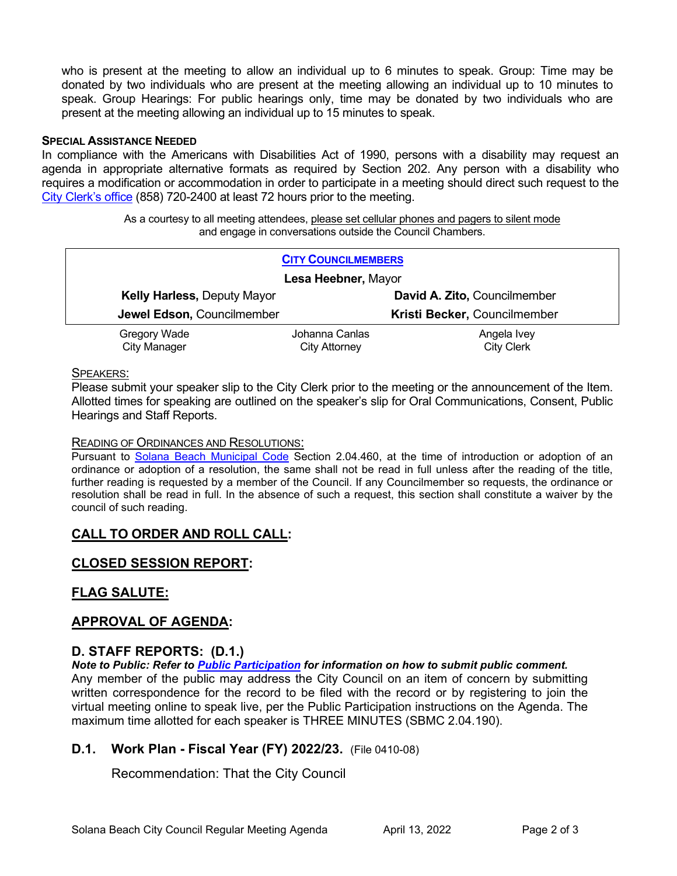who is present at the meeting to allow an individual up to 6 minutes to speak. Group: Time may be donated by two individuals who are present at the meeting allowing an individual up to 10 minutes to speak. Group Hearings: For public hearings only, time may be donated by two individuals who are present at the meeting allowing an individual up to 15 minutes to speak.

#### **SPECIAL ASSISTANCE NEEDED**

In compliance with the Americans with Disabilities Act of 1990, persons with a disability may request an agenda in appropriate alternative formats as required by Section 202. Any person with a disability who requires a modification or accommodation in order to participate in a meeting should direct such request to the [City Clerk's office](mailto:clerkadmin@cosb.org?subject=City%20Clerk%20Notice%20of%20Special%20Services%20Needed) (858) 720-2400 at least 72 hours prior to the meeting.

> As a courtesy to all meeting attendees, please set cellular phones and pagers to silent mode and engage in conversations outside the Council Chambers.

| <b>CITY COUNCILMEMBERS</b>         |                |                              |
|------------------------------------|----------------|------------------------------|
| Lesa Heebner, Mayor                |                |                              |
| <b>Kelly Harless, Deputy Mayor</b> |                | David A. Zito, Councilmember |
| Jewel Edson, Councilmember         |                | Kristi Becker, Councilmember |
| Gregory Wade                       | Johanna Canlas | Angela Ivey                  |
| <b>City Manager</b>                | City Attorney  | <b>City Clerk</b>            |

#### SPEAKERS:

Please submit your speaker slip to the City Clerk prior to the meeting or the announcement of the Item. Allotted times for speaking are outlined on the speaker's slip for Oral Communications, Consent, Public Hearings and Staff Reports.

#### READING OF ORDINANCES AND RESOLUTIONS:

Pursuant to [Solana Beach Municipal Code](mailto:https://www.codepublishing.com/CA/SolanaBeach/) Section 2.04.460, at the time of introduction or adoption of an ordinance or adoption of a resolution, the same shall not be read in full unless after the reading of the title, further reading is requested by a member of the Council. If any Councilmember so requests, the ordinance or resolution shall be read in full. In the absence of such a request, this section shall constitute a waiver by the council of such reading.

# **CALL TO ORDER AND ROLL CALL:**

# **CLOSED SESSION REPORT:**

# **FLAG SALUTE:**

# **APPROVAL OF AGENDA:**

# **D. STAFF REPORTS: (D.1.)**

*Note to Public: Refer to Public Participation for information on how to submit public comment.* 

Any member of the public may address the City Council on an item of concern by submitting written correspondence for the record to be filed with the record or by registering to join the virtual meeting online to speak live, per the Public Participation instructions on the Agenda. The maximum time allotted for each speaker is THREE MINUTES (SBMC 2.04.190).

#### **D.1. Work Plan - Fiscal Year (FY) 2022/23.** (File 0410-08)

Recommendation: That the City Council